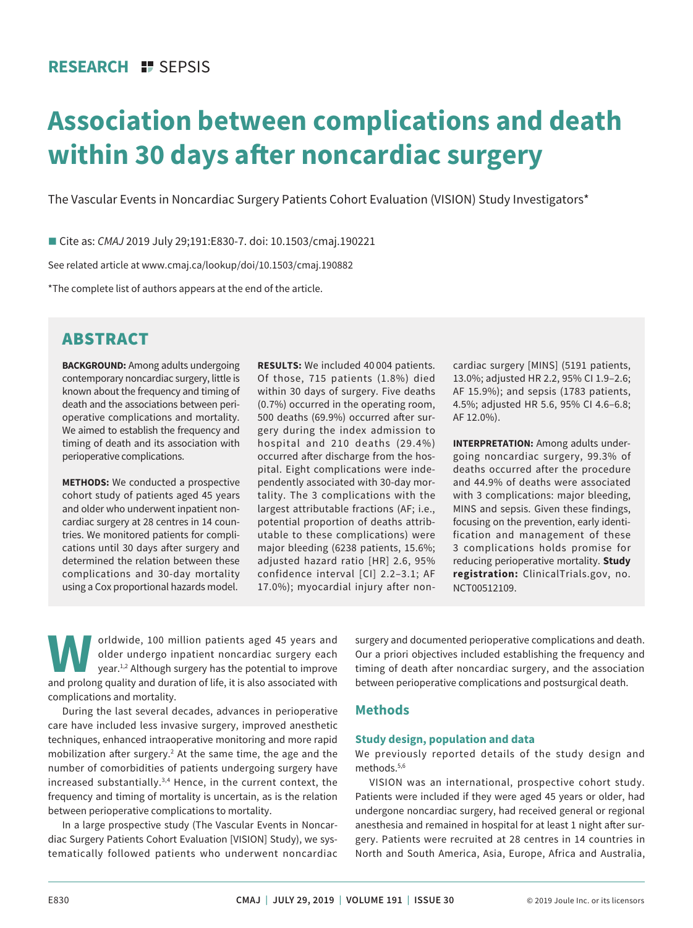## **RESEARCH II SEPSIS**

# **Association between complications and death within 30 days after noncardiac surgery**

The Vascular Events in Noncardiac Surgery Patients Cohort Evaluation (VISION) Study Investigators\*

■ Cite as: *CMAJ* 2019 July 29;191:E830-7. doi: 10.1503/cmaj.190221

See related article at www.cmaj.ca/lookup/doi/10.1503/cmaj.190882

\*The complete list of authors appears at the end of the article.

# ABSTRACT

**BACKGROUND:** Among adults undergoing contemporary noncardiac surgery, little is known about the frequency and timing of death and the associations between perioperative complications and mortality. We aimed to establish the frequency and timing of death and its association with perioperative complications.

**METHODS:** We conducted a prospective cohort study of patients aged 45 years and older who underwent inpatient noncardiac surgery at 28 centres in 14 countries. We monitored patients for complications until 30 days after surgery and determined the relation between these complications and 30-day mortality using a Cox proportional hazards model.

**RESULTS:** We included 40 004 patients. Of those, 715 patients (1.8%) died within 30 days of surgery. Five deaths (0.7%) occurred in the operating room, 500 deaths (69.9%) occurred after surgery during the index admission to hospital and 210 deaths (29.4%) occurred after discharge from the hospital. Eight complications were independently associated with 30-day mortality. The 3 complications with the largest attributable fractions (AF; i.e., potential proportion of deaths attributable to these complications) were major bleeding (6238 patients, 15.6%; adjusted hazard ratio [HR] 2.6, 95% confidence interval [CI] 2.2–3.1; AF 17.0%); myocardial injury after noncardiac surgery [MINS] (5191 patients, 13.0%; adjusted HR 2.2, 95% CI 1.9–2.6; AF 15.9%); and sepsis (1783 patients, 4.5%; adjusted HR 5.6, 95% CI 4.6–6.8; AF 12.0%).

**INTERPRETATION:** Among adults undergoing noncardiac surgery, 99.3% of deaths occurred after the procedure and 44.9% of deaths were associated with 3 complications: major bleeding, MINS and sepsis. Given these findings, focusing on the prevention, early identification and management of these 3 complications holds promise for reducing perioperative mortality. **Study registration:** ClinicalTrials.gov, no. NCT00512109.

orldwide, 100 million patients aged 45 years and<br>older undergo inpatient noncardiac surgery each<br>year.<sup>1,2</sup> Although surgery has the potential to improve<br>and prolong quality and duration of life it is also associated with older undergo inpatient noncardiac surgery each year.1,2 Although surgery has the potential to improve and prolong quality and duration of life, it is also associated with complications and mortality.

During the last several decades, advances in perioperative care have included less invasive surgery, improved anesthetic techniques, enhanced intraoperative monitoring and more rapid mobilization after surgery.<sup>2</sup> At the same time, the age and the number of comorbidities of patients undergoing surgery have increased substantially.3,4 Hence, in the current context, the frequency and timing of mortality is uncertain, as is the relation between perioperative complications to mortality.

In a large prospective study (The Vascular Events in Noncardiac Surgery Patients Cohort Evaluation [VISION] Study), we systematically followed patients who underwent noncardiac surgery and documented perioperative complications and death. Our a priori objectives included establishing the frequency and timing of death after noncardiac surgery, and the association between perioperative complications and postsurgical death.

## **Methods**

## **Study design, population and data**

We previously reported details of the study design and methods.5,6

VISION was an international, prospective cohort study. Patients were included if they were aged 45 years or older, had undergone noncardiac surgery, had received general or regional anesthesia and remained in hospital for at least 1 night after surgery. Patients were recruited at 28 centres in 14 countries in North and South America, Asia, Europe, Africa and Australia,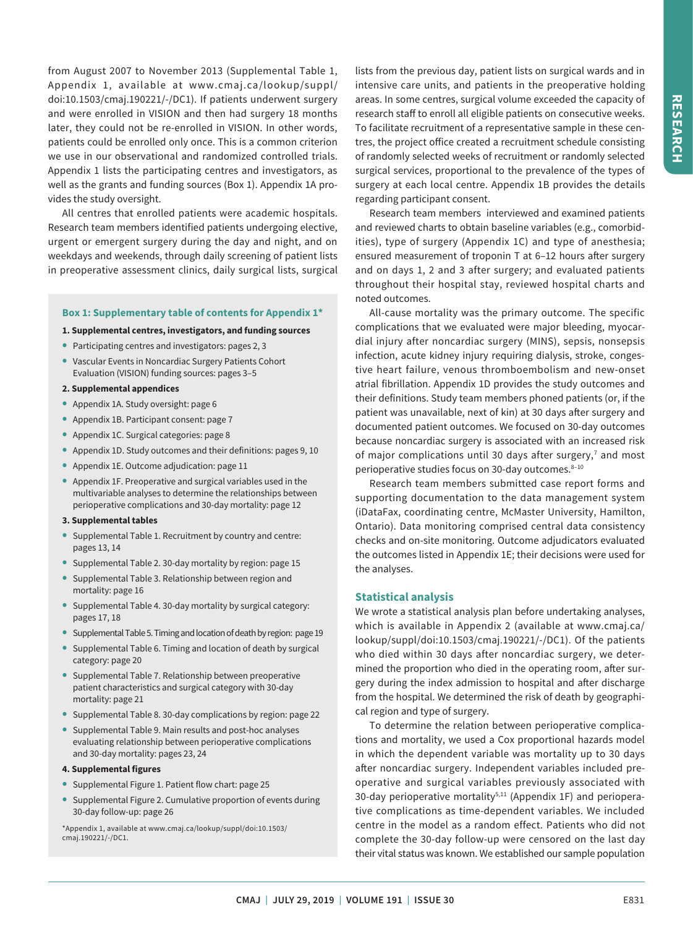from August 2007 to November 2013 (Supplemental Table 1, Appendix 1, available at www.cmaj.ca/lookup/suppl/ doi:10.1503/cmaj.190221/-/DC1). If patients underwent surgery and were enrolled in VISION and then had surgery 18 months later, they could not be re-enrolled in VISION. In other words, patients could be enrolled only once. This is a common criterion we use in our observational and randomized controlled trials. Appendix 1 lists the participating centres and investigators, as well as the grants and funding sources (Box 1). Appendix 1A provides the study oversight.

All centres that enrolled patients were academic hospitals. Research team members identified patients undergoing elective, urgent or emergent surgery during the day and night, and on weekdays and weekends, through daily screening of patient lists in preoperative assessment clinics, daily surgical lists, surgical

## **Box 1: Supplementary table of contents for Appendix 1\***

#### **1. Supplemental centres, investigators, and funding sources**

- **•** Participating centres and investigators: pages 2, 3
- **•** Vascular Events in Noncardiac Surgery Patients Cohort Evaluation (VISION) funding sources: pages 3–5
- **2. Supplemental appendices**
- **•** Appendix 1A. Study oversight: page 6
- **•** Appendix 1B. Participant consent: page 7
- **•** Appendix 1C. Surgical categories: page 8
- **•** Appendix 1D. Study outcomes and their definitions: pages 9, 10
- **•** Appendix 1E. Outcome adjudication: page 11
- **•** Appendix 1F. Preoperative and surgical variables used in the multivariable analyses to determine the relationships between perioperative complications and 30-day mortality: page 12

#### **3. Supplemental tables**

- **•** Supplemental Table 1. Recruitment by country and centre: pages 13, 14
- **•** Supplemental Table 2. 30-day mortality by region: page 15
- **•** Supplemental Table 3. Relationship between region and mortality: page 16
- **•** Supplemental Table 4. 30-day mortality by surgical category: pages 17, 18
- **•** Supplemental Table 5. Timing and location of death by region: page 19
- **•** Supplemental Table 6. Timing and location of death by surgical category: page 20
- **•** Supplemental Table 7. Relationship between preoperative patient characteristics and surgical category with 30-day mortality: page 21
- **•** Supplemental Table 8. 30-day complications by region: page 22
- **•** Supplemental Table 9. Main results and post-hoc analyses evaluating relationship between perioperative complications and 30-day mortality: pages 23, 24

#### **4. Supplemental figures**

- **•** Supplemental Figure 1. Patient flow chart: page 25
- **•** Supplemental Figure 2. Cumulative proportion of events during 30-day follow-up: page 26

\*Appendix 1, available at www.cmaj.ca/lookup/suppl/doi:10.1503/ cmaj.190221/-/DC1.

lists from the previous day, patient lists on surgical wards and in intensive care units, and patients in the preoperative holding areas. In some centres, surgical volume exceeded the capacity of research staff to enroll all eligible patients on consecutive weeks. To facilitate recruitment of a representative sample in these centres, the project office created a recruitment schedule consisting of randomly selected weeks of recruitment or randomly selected surgical services, proportional to the prevalence of the types of surgery at each local centre. Appendix 1B provides the details regarding participant consent.

Research team members interviewed and examined patients and reviewed charts to obtain baseline variables (e.g., comorbidities), type of surgery (Appendix 1C) and type of anesthesia; ensured measurement of troponin T at 6–12 hours after surgery and on days 1, 2 and 3 after surgery; and evaluated patients throughout their hospital stay, reviewed hospital charts and noted outcomes.

All-cause mortality was the primary outcome. The specific complications that we evaluated were major bleeding, myocardial injury after noncardiac surgery (MINS), sepsis, nonsepsis infection, acute kidney injury requiring dialysis, stroke, congestive heart failure, venous thromboembolism and new-onset atrial fibrillation. Appendix 1D provides the study outcomes and their definitions. Study team members phoned patients (or, if the patient was unavailable, next of kin) at 30 days after surgery and documented patient outcomes. We focused on 30-day outcomes because noncardiac surgery is associated with an increased risk of major complications until 30 days after surgery, $^7$  and most perioperative studies focus on 30-day outcomes. 8-10

Research team members submitted case report forms and supporting documentation to the data management system (iDataFax, coordinating centre, McMaster University, Hamilton, Ontario). Data monitoring comprised central data consistency checks and on-site monitoring. Outcome adjudicators evaluated the outcomes listed in Appendix 1E; their decisions were used for the analyses.

## **Statistical analysis**

We wrote a statistical analysis plan before undertaking analyses, which is available in Appendix 2 (available at www.cmaj.ca/ lookup/suppl/doi:10.1503/cmaj.190221/-/DC1). Of the patients who died within 30 days after noncardiac surgery, we determined the proportion who died in the operating room, after surgery during the index admission to hospital and after discharge from the hospital. We determined the risk of death by geographical region and type of surgery.

To determine the relation between perioperative complications and mortality, we used a Cox proportional hazards model in which the dependent variable was mortality up to 30 days after noncardiac surgery. Independent variables included preoperative and surgical variables previously associated with 30-day perioperative mortality<sup>5,11</sup> (Appendix 1F) and perioperative complications as time-dependent variables. We included centre in the model as a random effect. Patients who did not complete the 30-day follow-up were censored on the last day their vital status was known. We established our sample population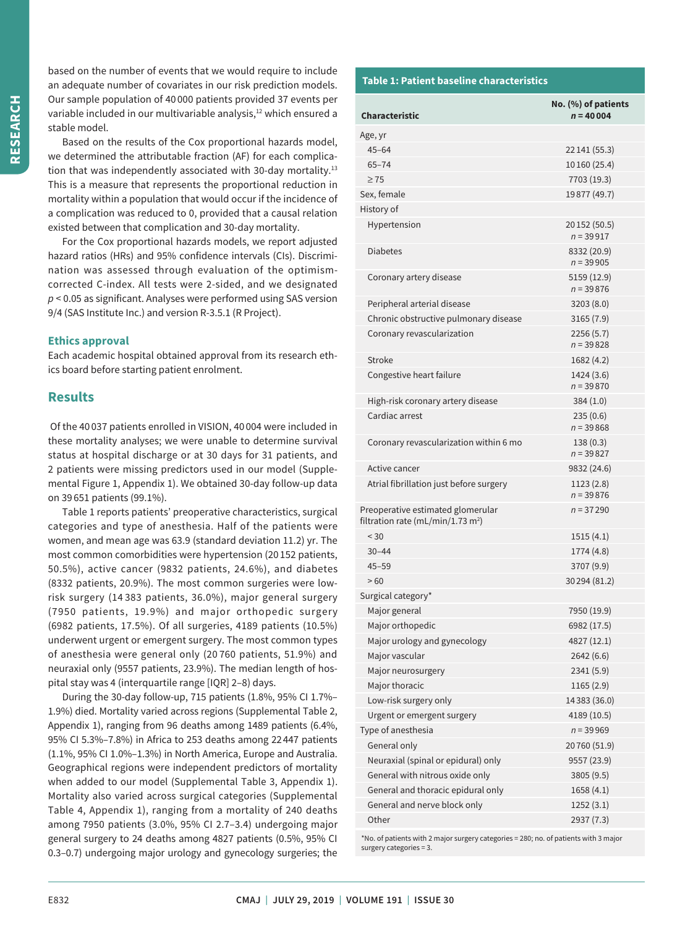based on the number of events that we would require to include an adequate number of covariates in our risk prediction models. Our sample population of 40 000 patients provided 37 events per variable included in our multivariable analysis,<sup>12</sup> which ensured a stable model.

Based on the results of the Cox proportional hazards model, we determined the attributable fraction (AF) for each complication that was independently associated with 30-day mortality.<sup>13</sup> This is a measure that represents the proportional reduction in mortality within a population that would occur if the incidence of a complication was reduced to 0, provided that a causal relation existed between that complication and 30-day mortality.

For the Cox proportional hazards models, we report adjusted hazard ratios (HRs) and 95% confidence intervals (CIs). Discrimination was assessed through evaluation of the optimismcorrected C-index. All tests were 2-sided, and we designated *p* < 0.05 as significant. Analyses were performed using SAS version 9/4 (SAS Institute Inc.) and version R-3.5.1 (R Project).

## **Ethics approval**

Each academic hospital obtained approval from its research ethics board before starting patient enrolment.

## **Results**

 Of the 40 037 patients enrolled in VISION, 40 004 were included in these mortality analyses; we were unable to determine survival status at hospital discharge or at 30 days for 31 patients, and 2 patients were missing predictors used in our model (Supplemental Figure 1, Appendix 1). We obtained 30-day follow-up data on 39 651 patients (99.1%).

Table 1 reports patients' preoperative characteristics, surgical categories and type of anesthesia. Half of the patients were women, and mean age was 63.9 (standard deviation 11.2) yr. The most common comorbidities were hypertension (20 152 patients, 50.5%), active cancer (9832 patients, 24.6%), and diabetes (8332 patients, 20.9%). The most common surgeries were lowrisk surgery (14 383 patients, 36.0%), major general surgery (7950 patients, 19.9%) and major orthopedic surgery (6982 patients, 17.5%). Of all surgeries, 4189 patients (10.5%) underwent urgent or emergent surgery. The most common types of anesthesia were general only (20 760 patients, 51.9%) and neuraxial only (9557 patients, 23.9%). The median length of hospital stay was 4 (interquartile range [IQR] 2–8) days.

During the 30-day follow-up, 715 patients (1.8%, 95% CI 1.7%– 1.9%) died. Mortality varied across regions (Supplemental Table 2, Appendix 1), ranging from 96 deaths among 1489 patients (6.4%, 95% CI 5.3%–7.8%) in Africa to 253 deaths among 22 447 patients (1.1%, 95% CI 1.0%–1.3%) in North America, Europe and Australia. Geographical regions were independent predictors of mortality when added to our model (Supplemental Table 3, Appendix 1). Mortality also varied across surgical categories (Supplemental Table 4, Appendix 1), ranging from a mortality of 240 deaths among 7950 patients (3.0%, 95% CI 2.7–3.4) undergoing major general surgery to 24 deaths among 4827 patients (0.5%, 95% CI 0.3–0.7) undergoing major urology and gynecology surgeries; the

## **Table 1: Patient baseline characteristics**

| <b>Characteristic</b>                                                              | No. (%) of patients<br>$n = 40004$ |
|------------------------------------------------------------------------------------|------------------------------------|
| Age, yr                                                                            |                                    |
| $45 - 64$                                                                          | 22 141 (55.3)                      |
| $65 - 74$                                                                          | 10 160 (25.4)                      |
| $\geq 75$                                                                          | 7703 (19.3)                        |
| Sex, female                                                                        | 19877 (49.7)                       |
| History of                                                                         |                                    |
| Hypertension                                                                       | 20 152 (50.5)<br>$n = 39917$       |
| <b>Diabetes</b>                                                                    | 8332 (20.9)<br>$n = 39905$         |
| Coronary artery disease                                                            | 5159 (12.9)<br>$n = 39876$         |
| Peripheral arterial disease                                                        | 3203(8.0)                          |
| Chronic obstructive pulmonary disease                                              | 3165(7.9)                          |
| Coronary revascularization                                                         | 2256(5.7)<br>$n = 39828$           |
| Stroke                                                                             | 1682 (4.2)                         |
| Congestive heart failure                                                           | 1424 (3.6)<br>$n = 39870$          |
| High-risk coronary artery disease                                                  | 384 (1.0)                          |
| Cardiac arrest                                                                     | 235(0.6)<br>$n = 39868$            |
| Coronary revascularization within 6 mo                                             | 138 (0.3)<br>$n = 39827$           |
| Active cancer                                                                      | 9832 (24.6)                        |
| Atrial fibrillation just before surgery                                            | 1123 (2.8)<br>$n = 39876$          |
| Preoperative estimated glomerular<br>filtration rate (mL/min/1.73 m <sup>2</sup> ) | $n = 37290$                        |
| < 30                                                                               | 1515(4.1)                          |
| $30 - 44$                                                                          | 1774 (4.8)                         |
| $45 - 59$                                                                          | 3707 (9.9)                         |
| >60                                                                                | 30 294 (81.2)                      |
| Surgical category*                                                                 |                                    |
| Major general                                                                      | 7950 (19.9)                        |
| Major orthopedic                                                                   | 6982 (17.5)                        |
| Major urology and gynecology                                                       | 4827 (12.1)                        |
| Major vascular                                                                     | 2642(6.6)                          |
| Major neurosurgery                                                                 | 2341(5.9)                          |
| Major thoracic                                                                     | 1165 (2.9)                         |
| Low-risk surgery only                                                              | 14383 (36.0)                       |
| Urgent or emergent surgery                                                         | 4189 (10.5)                        |
| Type of anesthesia                                                                 | $n = 39969$                        |
| General only                                                                       | 20760 (51.9)                       |
| Neuraxial (spinal or epidural) only                                                | 9557 (23.9)                        |
| General with nitrous oxide only                                                    | 3805(9.5)                          |
| General and thoracic epidural only                                                 | 1658(4.1)                          |
| General and nerve block only                                                       | 1252(3.1)                          |
| Other                                                                              | 2937 (7.3)                         |

\*No. of patients with 2 major surgery categories = 280; no. of patients with 3 major surgery categories = 3.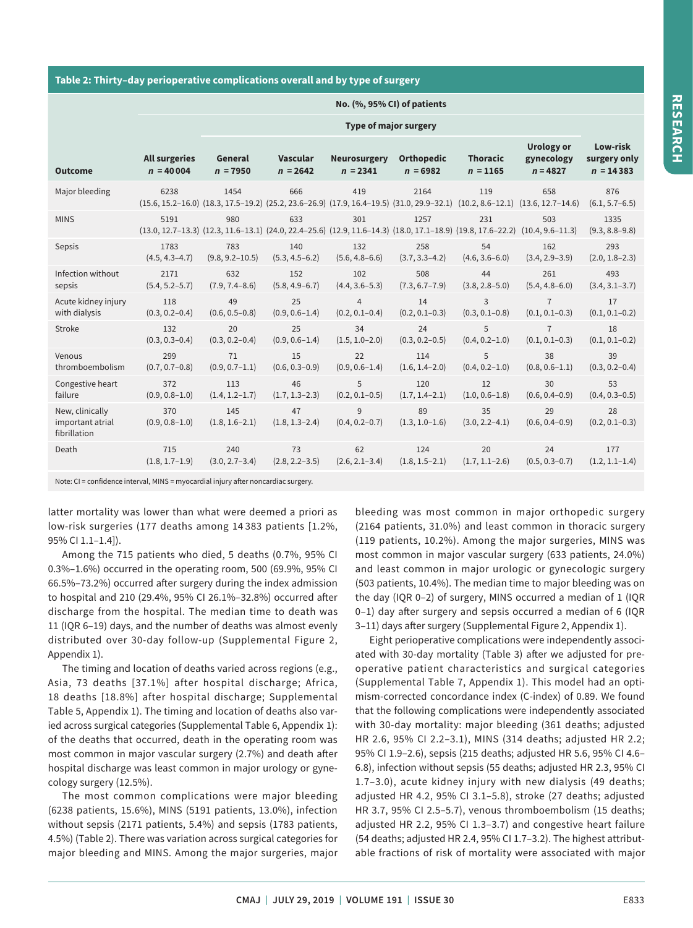## **Table 2: Thirty–day perioperative complications overall and by type of surgery**

|                                                     | $110, 170, 3370$ Gij of patients    |                           |                                                                                                                                                   |                                   |                                 |                               |                                               |                                         |  |  |
|-----------------------------------------------------|-------------------------------------|---------------------------|---------------------------------------------------------------------------------------------------------------------------------------------------|-----------------------------------|---------------------------------|-------------------------------|-----------------------------------------------|-----------------------------------------|--|--|
|                                                     | <b>Type of major surgery</b>        |                           |                                                                                                                                                   |                                   |                                 |                               |                                               |                                         |  |  |
| <b>Outcome</b>                                      | <b>All surgeries</b><br>$n = 40004$ | General<br>$n = 7950$     | <b>Vascular</b><br>$n = 2642$                                                                                                                     | <b>Neurosurgery</b><br>$n = 2341$ | <b>Orthopedic</b><br>$n = 6982$ | <b>Thoracic</b><br>$n = 1165$ | <b>Urology or</b><br>gynecology<br>$n = 4827$ | Low-risk<br>surgery only<br>$n = 14383$ |  |  |
| Major bleeding                                      | 6238                                | 1454                      | 666<br>(15.6, 15.2-16.0) (18.3, 17.5-19.2) (25.2, 23.6-26.9) (17.9, 16.4-19.5) (31.0, 29.9-32.1) (10.2, 8.6-12.1) (13.6, 12.7-14.6)               | 419                               | 2164                            | 119                           | 658                                           | 876<br>$(6.1, 5.7 - 6.5)$               |  |  |
| <b>MINS</b>                                         | 5191                                | 980                       | 633<br>$(13.0, 12.7-13.3)$ $(12.3, 11.6-13.1)$ $(24.0, 22.4-25.6)$ $(12.9, 11.6-14.3)$ $(18.0, 17.1-18.9)$ $(19.8, 17.6-22.2)$ $(10.4, 9.6-11.3)$ | 301                               | 1257                            | 231                           | 503                                           | 1335<br>$(9.3, 8.8 - 9.8)$              |  |  |
| Sepsis                                              | 1783                                | 783                       | 140                                                                                                                                               | 132                               | 258                             | 54                            | 162                                           | 293                                     |  |  |
|                                                     | $(4.5, 4.3 - 4.7)$                  | $(9.8, 9.2 - 10.5)$       | $(5.3, 4.5 - 6.2)$                                                                                                                                | $(5.6, 4.8 - 6.6)$                | $(3.7, 3.3 - 4.2)$              | $(4.6, 3.6 - 6.0)$            | $(3.4, 2.9 - 3.9)$                            | $(2.0, 1.8 - 2.3)$                      |  |  |
| Infection without                                   | 2171                                | 632                       | 152                                                                                                                                               | 102                               | 508                             | 44                            | 261                                           | 493                                     |  |  |
| sepsis                                              | $(5.4, 5.2 - 5.7)$                  | $(7.9, 7.4 - 8.6)$        | $(5.8, 4.9 - 6.7)$                                                                                                                                | $(4.4, 3.6 - 5.3)$                | $(7.3, 6.7 - 7.9)$              | $(3.8, 2.8 - 5.0)$            | $(5.4, 4.8 - 6.0)$                            | $(3.4, 3.1 - 3.7)$                      |  |  |
| Acute kidney injury                                 | 118                                 | 49                        | 25                                                                                                                                                | $\overline{4}$                    | 14                              | 3                             | $\overline{7}$                                | 17                                      |  |  |
| with dialysis                                       | $(0.3, 0.2 - 0.4)$                  | $(0.6, 0.5 - 0.8)$        | $(0.9, 0.6 - 1.4)$                                                                                                                                | $(0.2, 0.1 - 0.4)$                | $(0.2, 0.1 - 0.3)$              | $(0.3, 0.1 - 0.8)$            | $(0.1, 0.1 - 0.3)$                            | $(0.1, 0.1 - 0.2)$                      |  |  |
| Stroke                                              | 132                                 | 20                        | 25                                                                                                                                                | 34                                | 24                              | 5                             | $\overline{7}$                                | 18                                      |  |  |
|                                                     | $(0.3, 0.3 - 0.4)$                  | $(0.3, 0.2 - 0.4)$        | $(0.9, 0.6 - 1.4)$                                                                                                                                | $(1.5, 1.0 - 2.0)$                | $(0.3, 0.2 - 0.5)$              | $(0.4, 0.2 - 1.0)$            | $(0.1, 0.1 - 0.3)$                            | $(0.1, 0.1 - 0.2)$                      |  |  |
| Venous                                              | 299                                 | 71                        | 15                                                                                                                                                | 22                                | 114                             | 5                             | 38                                            | 39                                      |  |  |
| thromboembolism                                     | $(0.7, 0.7 - 0.8)$                  | $(0.9, 0.7-1.1)$          | $(0.6, 0.3 - 0.9)$                                                                                                                                | $(0.9, 0.6 - 1.4)$                | $(1.6, 1.4 - 2.0)$              | $(0.4, 0.2 - 1.0)$            | $(0.8, 0.6 - 1.1)$                            | $(0.3, 0.2 - 0.4)$                      |  |  |
| Congestive heart                                    | 372                                 | 113                       | 46                                                                                                                                                | 5                                 | 120                             | 12                            | 30                                            | 53                                      |  |  |
| failure                                             | $(0.9, 0.8 - 1.0)$                  | $(1.4, 1.2 - 1.7)$        | $(1.7, 1.3 - 2.3)$                                                                                                                                | $(0.2, 0.1 - 0.5)$                | $(1.7, 1.4 - 2.1)$              | $(1.0, 0.6-1.8)$              | $(0.6, 0.4 - 0.9)$                            | $(0.4, 0.3 - 0.5)$                      |  |  |
| New, clinically<br>important atrial<br>fibrillation | 370<br>$(0.9, 0.8 - 1.0)$           | 145<br>$(1.8, 1.6 - 2.1)$ | 47<br>$(1.8, 1.3 - 2.4)$                                                                                                                          | 9<br>$(0.4, 0.2 - 0.7)$           | 89<br>$(1.3, 1.0-1.6)$          | 35<br>$(3.0, 2.2 - 4.1)$      | 29<br>$(0.6, 0.4 - 0.9)$                      | 28<br>$(0.2, 0.1 - 0.3)$                |  |  |
| Death                                               | 715                                 | 240                       | 73                                                                                                                                                | 62                                | 124                             | 20                            | 24                                            | 177                                     |  |  |
|                                                     | $(1.8, 1.7-1.9)$                    | $(3.0, 2.7 - 3.4)$        | $(2.8, 2.2 - 3.5)$                                                                                                                                | $(2.6, 2.1 - 3.4)$                | $(1.8, 1.5-2.1)$                | $(1.7, 1.1 - 2.6)$            | $(0.5, 0.3 - 0.7)$                            | $(1.2, 1.1-1.4)$                        |  |  |

**No. (%, 95% CI) of patients**

Note: CI = confidence interval, MINS = myocardial injury after noncardiac surgery.

latter mortality was lower than what were deemed a priori as low-risk surgeries (177 deaths among 14 383 patients [1.2%, 95% CI 1.1–1.4]).

Among the 715 patients who died, 5 deaths (0.7%, 95% CI 0.3%–1.6%) occurred in the operating room, 500 (69.9%, 95% CI 66.5%–73.2%) occurred after surgery during the index admission to hospital and 210 (29.4%, 95% CI 26.1%–32.8%) occurred after discharge from the hospital. The median time to death was 11 (IQR 6–19) days, and the number of deaths was almost evenly distributed over 30-day follow-up (Supplemental Figure 2, Appendix 1).

The timing and location of deaths varied across regions (e.g., Asia, 73 deaths [37.1%] after hospital discharge; Africa, 18 deaths [18.8%] after hospital discharge; Supplemental Table 5, Appendix 1). The timing and location of deaths also varied across surgical categories (Supplemental Table 6, Appendix 1): of the deaths that occurred, death in the operating room was most common in major vascular surgery (2.7%) and death after hospital discharge was least common in major urology or gynecology surgery (12.5%).

The most common complications were major bleeding (6238 patients, 15.6%), MINS (5191 patients, 13.0%), infection without sepsis (2171 patients, 5.4%) and sepsis (1783 patients, 4.5%) (Table 2). There was variation across surgical categories for major bleeding and MINS. Among the major surgeries, major

bleeding was most common in major orthopedic surgery (2164 patients, 31.0%) and least common in thoracic surgery (119 patients, 10.2%). Among the major surgeries, MINS was most common in major vascular surgery (633 patients, 24.0%) and least common in major urologic or gynecologic surgery (503 patients, 10.4%). The median time to major bleeding was on the day (IQR 0–2) of surgery, MINS occurred a median of 1 (IQR 0–1) day after surgery and sepsis occurred a median of 6 (IQR 3–11) days after surgery (Supplemental Figure 2, Appendix 1).

Eight perioperative complications were independently associated with 30-day mortality (Table 3) after we adjusted for preoperative patient characteristics and surgical categories (Supplemental Table 7, Appendix 1). This model had an optimism-corrected concordance index (C-index) of 0.89. We found that the following complications were independently associated with 30-day mortality: major bleeding (361 deaths; adjusted HR 2.6, 95% CI 2.2–3.1), MINS (314 deaths; adjusted HR 2.2; 95% CI 1.9–2.6), sepsis (215 deaths; adjusted HR 5.6, 95% CI 4.6– 6.8), infection without sepsis (55 deaths; adjusted HR 2.3, 95% CI 1.7–3.0), acute kidney injury with new dialysis (49 deaths; adjusted HR 4.2, 95% CI 3.1–5.8), stroke (27 deaths; adjusted HR 3.7, 95% CI 2.5–5.7), venous thromboembolism (15 deaths; adjusted HR 2.2, 95% CI 1.3–3.7) and congestive heart failure (54 deaths; adjusted HR 2.4, 95% CI 1.7–3.2). The highest attributable fractions of risk of mortality were associated with major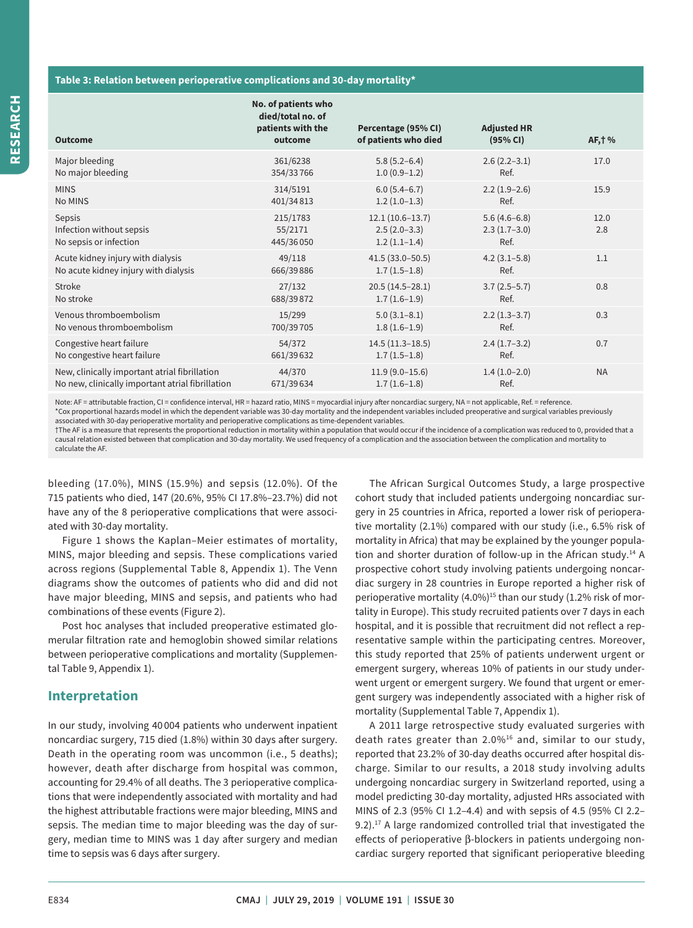## **Table 3: Relation between perioperative complications and 30-day mortality\***

| <b>Outcome</b>                                               | No. of patients who<br>died/total no. of<br>patients with the<br>outcome | Percentage (95% CI)<br>of patients who died           | <b>Adjusted HR</b><br>(95% CI)           | AF, † %     |
|--------------------------------------------------------------|--------------------------------------------------------------------------|-------------------------------------------------------|------------------------------------------|-------------|
| Major bleeding                                               | 361/6238                                                                 | $5.8(5.2 - 6.4)$                                      | $2.6(2.2-3.1)$                           | 17.0        |
| No major bleeding                                            | 354/33766                                                                | $1.0(0.9-1.2)$                                        | Ref.                                     |             |
| <b>MINS</b>                                                  | 314/5191                                                                 | $6.0(5.4-6.7)$                                        | $2.2(1.9-2.6)$                           | 15.9        |
| No MINS                                                      | 401/34813                                                                | $1.2(1.0-1.3)$                                        | Ref.                                     |             |
| Sepsis<br>Infection without sepsis<br>No sepsis or infection | 215/1783<br>55/2171<br>445/36050                                         | $12.1(10.6-13.7)$<br>$2.5(2.0-3.3)$<br>$1.2(1.1-1.4)$ | $5.6(4.6-6.8)$<br>$2.3(1.7-3.0)$<br>Ref. | 12.0<br>2.8 |
| Acute kidney injury with dialysis                            | 49/118                                                                   | $41.5(33.0 - 50.5)$                                   | $4.2(3.1 - 5.8)$                         | 1.1         |
| No acute kidney injury with dialysis                         | 666/39886                                                                | $1.7(1.5-1.8)$                                        | Ref.                                     |             |
| Stroke                                                       | 27/132                                                                   | $20.5(14.5-28.1)$                                     | $3.7(2.5-5.7)$                           | 0.8         |
| No stroke                                                    | 688/39872                                                                | $1.7(1.6-1.9)$                                        | Ref.                                     |             |
| Venous thromboembolism                                       | 15/299                                                                   | $5.0(3.1-8.1)$                                        | $2.2(1.3-3.7)$                           | 0.3         |
| No venous thromboembolism                                    | 700/39705                                                                | $1.8(1.6-1.9)$                                        | Ref.                                     |             |
| Congestive heart failure                                     | 54/372                                                                   | $14.5(11.3-18.5)$                                     | $2.4(1.7-3.2)$                           | 0.7         |
| No congestive heart failure                                  | 661/39632                                                                | $1.7(1.5-1.8)$                                        | Ref.                                     |             |
| New, clinically important atrial fibrillation                | 44/370                                                                   | $11.9(9.0-15.6)$                                      | $1.4(1.0-2.0)$                           | <b>NA</b>   |
| No new, clinically important atrial fibrillation             | 671/39634                                                                | $1.7(1.6-1.8)$                                        | Ref.                                     |             |

Note: AF = attributable fraction, CI = confidence interval, HR = hazard ratio, MINS = myocardial injury after noncardiac surgery, NA = not applicable, Ref. = reference. \*Cox proportional hazards model in which the dependent variable was 30-day mortality and the independent variables included preoperative and surgical variables previously associated with 30-day perioperative mortality and perioperative complications as time-dependent variables.

†The AF is a measure that represents the proportional reduction in mortality within a population that would occur if the incidence of a complication was reduced to 0, provided that a causal relation existed between that complication and 30-day mortality. We used frequency of a complication and the association between the complication and mortality to calculate the AF.

bleeding (17.0%), MINS (15.9%) and sepsis (12.0%). Of the 715 patients who died, 147 (20.6%, 95% CI 17.8%–23.7%) did not have any of the 8 perioperative complications that were associated with 30-day mortality.

Figure 1 shows the Kaplan–Meier estimates of mortality, MINS, major bleeding and sepsis. These complications varied across regions (Supplemental Table 8, Appendix 1). The Venn diagrams show the outcomes of patients who did and did not have major bleeding, MINS and sepsis, and patients who had combinations of these events (Figure 2).

Post hoc analyses that included preoperative estimated glomerular filtration rate and hemoglobin showed similar relations between perioperative complications and mortality (Supplemental Table 9, Appendix 1).

## **Interpretation**

In our study, involving 40 004 patients who underwent inpatient noncardiac surgery, 715 died (1.8%) within 30 days after surgery. Death in the operating room was uncommon (i.e., 5 deaths); however, death after discharge from hospital was common, accounting for 29.4% of all deaths. The 3 perioperative complications that were independently associated with mortality and had the highest attributable fractions were major bleeding, MINS and sepsis. The median time to major bleeding was the day of surgery, median time to MINS was 1 day after surgery and median time to sepsis was 6 days after surgery.

The African Surgical Outcomes Study, a large prospective cohort study that included patients undergoing noncardiac surgery in 25 countries in Africa, reported a lower risk of perioperative mortality (2.1%) compared with our study (i.e., 6.5% risk of mortality in Africa) that may be explained by the younger population and shorter duration of follow-up in the African study.<sup>14</sup> A prospective cohort study involving patients undergoing noncardiac surgery in 28 countries in Europe reported a higher risk of perioperative mortality  $(4.0\%)^{15}$  than our study  $(1.2\%)$  risk of mortality in Europe). This study recruited patients over 7 days in each hospital, and it is possible that recruitment did not reflect a representative sample within the participating centres. Moreover, this study reported that 25% of patients underwent urgent or emergent surgery, whereas 10% of patients in our study underwent urgent or emergent surgery. We found that urgent or emergent surgery was independently associated with a higher risk of mortality (Supplemental Table 7, Appendix 1).

A 2011 large retrospective study evaluated surgeries with death rates greater than  $2.0\%$ <sup>16</sup> and, similar to our study, reported that 23.2% of 30-day deaths occurred after hospital discharge. Similar to our results, a 2018 study involving adults undergoing noncardiac surgery in Switzerland reported, using a model predicting 30-day mortality, adjusted HRs associated with MINS of 2.3 (95% CI 1.2–4.4) and with sepsis of 4.5 (95% CI 2.2– 9.2).<sup>17</sup> A large randomized controlled trial that investigated the effects of perioperative β-blockers in patients undergoing noncardiac surgery reported that significant perioperative bleeding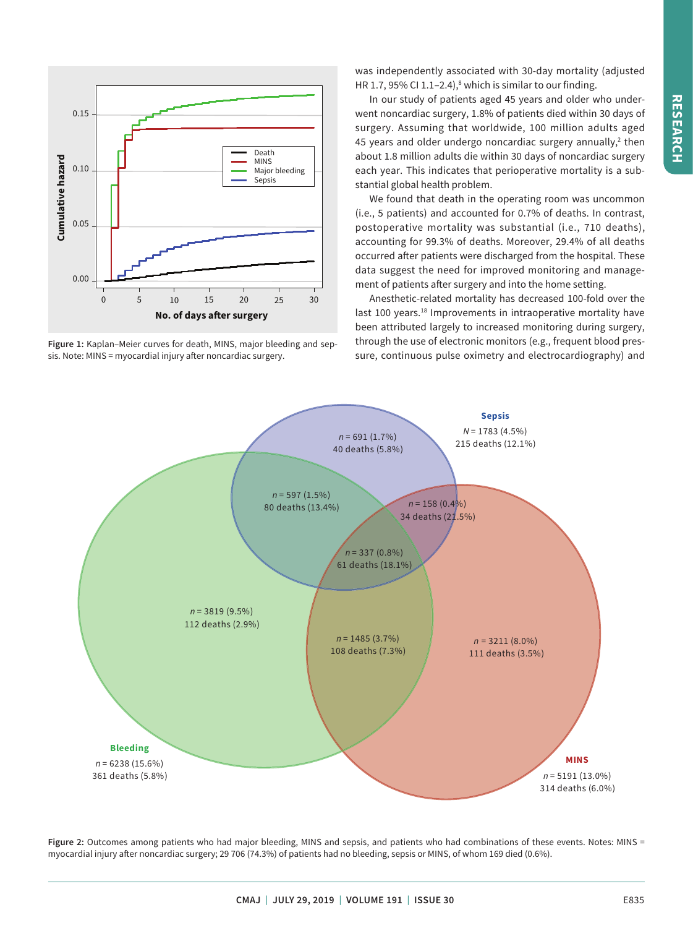

**Figure 1:** Kaplan–Meier curves for death, MINS, major bleeding and sepsis. Note: MINS = myocardial injury after noncardiac surgery.

was independently associated with 30-day mortality (adjusted HR 1.7, 95% CI 1.1–2.4), $^8$  which is similar to our finding.

In our study of patients aged 45 years and older who underwent noncardiac surgery, 1.8% of patients died within 30 days of surgery. Assuming that worldwide, 100 million adults aged 45 years and older undergo noncardiac surgery annually, $2$  then about 1.8 million adults die within 30 days of noncardiac surgery each year. This indicates that perioperative mortality is a substantial global health problem.

We found that death in the operating room was uncommon (i.e., 5 patients) and accounted for 0.7% of deaths. In contrast, postoperative mortality was substantial (i.e., 710 deaths), accounting for 99.3% of deaths. Moreover, 29.4% of all deaths occurred after patients were discharged from the hospital. These data suggest the need for improved monitoring and management of patients after surgery and into the home setting.

Anesthetic-related mortality has decreased 100-fold over the last 100 years.<sup>18</sup> Improvements in intraoperative mortality have been attributed largely to increased monitoring during surgery, through the use of electronic monitors (e.g., frequent blood pressure, continuous pulse oximetry and electrocardiography) and



Figure 2: Outcomes among patients who had major bleeding, MINS and sepsis, and patients who had combinations of these events. Notes: MINS = myocardial injury after noncardiac surgery; 29 706 (74.3%) of patients had no bleeding, sepsis or MINS, of whom 169 died (0.6%).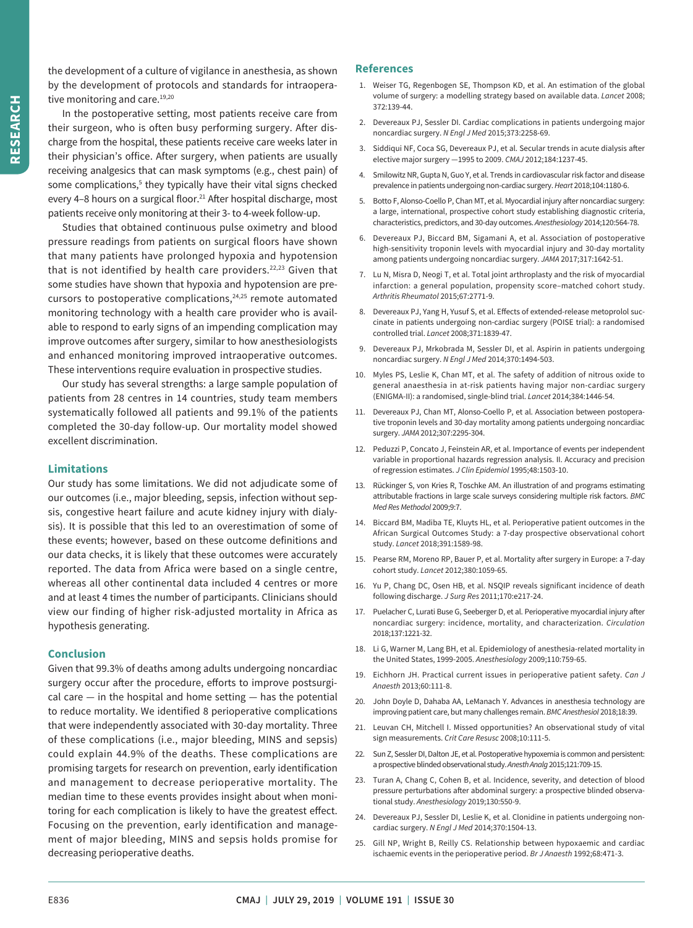the development of a culture of vigilance in anesthesia, as shown by the development of protocols and standards for intraoperative monitoring and care.<sup>19,20</sup>

In the postoperative setting, most patients receive care from their surgeon, who is often busy performing surgery. After discharge from the hospital, these patients receive care weeks later in their physician's office. After surgery, when patients are usually receiving analgesics that can mask symptoms (e.g., chest pain) of some complications,<sup>5</sup> they typically have their vital signs checked every 4-8 hours on a surgical floor.<sup>21</sup> After hospital discharge, most patients receive only monitoring at their 3- to 4-week follow-up.

Studies that obtained continuous pulse oximetry and blood pressure readings from patients on surgical floors have shown that many patients have prolonged hypoxia and hypotension that is not identified by health care providers.<sup>22,23</sup> Given that some studies have shown that hypoxia and hypotension are precursors to postoperative complications, $24,25$  remote automated monitoring technology with a health care provider who is available to respond to early signs of an impending complication may improve outcomes after surgery, similar to how anesthesiologists and enhanced monitoring improved intraoperative outcomes. These interventions require evaluation in prospective studies.

Our study has several strengths: a large sample population of patients from 28 centres in 14 countries, study team members systematically followed all patients and 99.1% of the patients completed the 30-day follow-up. Our mortality model showed excellent discrimination.

## **Limitations**

Our study has some limitations. We did not adjudicate some of our outcomes (i.e., major bleeding, sepsis, infection without sepsis, congestive heart failure and acute kidney injury with dialysis). It is possible that this led to an overestimation of some of these events; however, based on these outcome definitions and our data checks, it is likely that these outcomes were accurately reported. The data from Africa were based on a single centre, whereas all other continental data included 4 centres or more and at least 4 times the number of participants. Clinicians should view our finding of higher risk-adjusted mortality in Africa as hypothesis generating.

## **Conclusion**

Given that 99.3% of deaths among adults undergoing noncardiac surgery occur after the procedure, efforts to improve postsurgical care  $-$  in the hospital and home setting  $-$  has the potential to reduce mortality. We identified 8 perioperative complications that were independently associated with 30-day mortality. Three of these complications (i.e., major bleeding, MINS and sepsis) could explain 44.9% of the deaths. These complications are promising targets for research on prevention, early identification and management to decrease perioperative mortality. The median time to these events provides insight about when monitoring for each complication is likely to have the greatest effect. Focusing on the prevention, early identification and management of major bleeding, MINS and sepsis holds promise for decreasing perioperative deaths.

## **References**

- 1. Weiser TG, Regenbogen SE, Thompson KD, et al. An estimation of the global volume of surgery: a modelling strategy based on available data. *Lancet* 2008; 372:139-44.
- 2. Devereaux PJ, Sessler DI. Cardiac complications in patients undergoing major noncardiac surgery. *N Engl J Med* 2015;373:2258-69.
- 3. Siddiqui NF, Coca SG, Devereaux PJ, et al. Secular trends in acute dialysis after elective major surgery —1995 to 2009. *CMAJ* 2012;184:1237-45.
- 4. Smilowitz NR, Gupta N, Guo Y, et al. Trends in cardiovascular risk factor and disease prevalence in patients undergoing non-cardiac surgery. *Heart* 2018;104:1180-6.
- 5. Botto F, Alonso-Coello P, Chan MT, et al. Myocardial injury after noncardiac surgery: a large, international, prospective cohort study establishing diagnostic criteria, characteristics, predictors, and 30-day outcomes. *Anesthesiology* 2014;120:564-78.
- 6. Devereaux PJ, Biccard BM, Sigamani A, et al. Association of postoperative high-sensitivity troponin levels with myocardial injury and 30-day mortality among patients undergoing noncardiac surgery. *JAMA* 2017;317:1642-51.
- 7. Lu N, Misra D, Neogi T, et al. Total joint arthroplasty and the risk of myocardial infarction: a general population, propensity score–matched cohort study. *Arthritis Rheumatol* 2015;67:2771-9.
- 8. Devereaux PJ, Yang H, Yusuf S, et al. Effects of extended-release metoprolol succinate in patients undergoing non-cardiac surgery (POISE trial): a randomised controlled trial. *Lancet* 2008;371:1839-47.
- 9. Devereaux PJ, Mrkobrada M, Sessler DI, et al. Aspirin in patients undergoing noncardiac surgery. *N Engl J Med* 2014;370:1494-503.
- 10. Myles PS, Leslie K, Chan MT, et al. The safety of addition of nitrous oxide to general anaesthesia in at-risk patients having major non-cardiac surgery (ENIGMA-II): a randomised, single-blind trial. *Lancet* 2014;384:1446-54.
- 11. Devereaux PJ, Chan MT, Alonso-Coello P, et al. Association between postoperative troponin levels and 30-day mortality among patients undergoing noncardiac surgery. *JAMA* 2012;307:2295-304.
- 12. Peduzzi P, Concato J, Feinstein AR, et al. Importance of events per independent variable in proportional hazards regression analysis. II. Accuracy and precision of regression estimates. *J Clin Epidemiol* 1995;48:1503-10.
- 13. Rückinger S, von Kries R, Toschke AM. An illustration of and programs estimating attributable fractions in large scale surveys considering multiple risk factors. *BMC Med Res Methodol* 2009;9:7.
- 14. Biccard BM, Madiba TE, Kluyts HL, et al. Perioperative patient outcomes in the African Surgical Outcomes Study: a 7-day prospective observational cohort study. *Lancet* 2018;391:1589-98.
- 15. Pearse RM, Moreno RP, Bauer P, et al. Mortality after surgery in Europe: a 7-day cohort study. *Lancet* 2012;380:1059-65.
- 16. Yu P, Chang DC, Osen HB, et al. NSQIP reveals significant incidence of death following discharge. *J Surg Res* 2011;170:e217-24.
- 17. Puelacher C, Lurati Buse G, Seeberger D, et al. Perioperative myocardial injury after noncardiac surgery: incidence, mortality, and characterization. *Circulation* 2018;137:1221-32.
- 18. Li G, Warner M, Lang BH, et al. Epidemiology of anesthesia-related mortality in the United States, 1999-2005. *Anesthesiology* 2009;110:759-65.
- 19. Eichhorn JH. Practical current issues in perioperative patient safety. *Can J Anaesth* 2013;60:111-8.
- 20. John Doyle D, Dahaba AA, LeManach Y. Advances in anesthesia technology are improving patient care, but many challenges remain. *BMC Anesthesiol* 2018;18:39.
- 21. Leuvan CH, Mitchell I. Missed opportunities? An observational study of vital sign measurements. *Crit Care Resusc* 2008;10:111-5.
- 22. Sun Z, Sessler DI, Dalton JE, et al. Postoperative hypoxemia is common and persistent: a prospective blinded observational study. *Anesth Analg* 2015;121:709-15.
- 23. Turan A, Chang C, Cohen B, et al. Incidence, severity, and detection of blood pressure perturbations after abdominal surgery: a prospective blinded observational study. *Anesthesiology* 2019;130:550-9.
- 24. Devereaux PJ, Sessler DI, Leslie K, et al. Clonidine in patients undergoing noncardiac surgery. *N Engl J Med* 2014;370:1504-13.
- 25. Gill NP, Wright B, Reilly CS. Relationship between hypoxaemic and cardiac ischaemic events in the perioperative period. *Br J Anaesth* 1992;68:471-3.